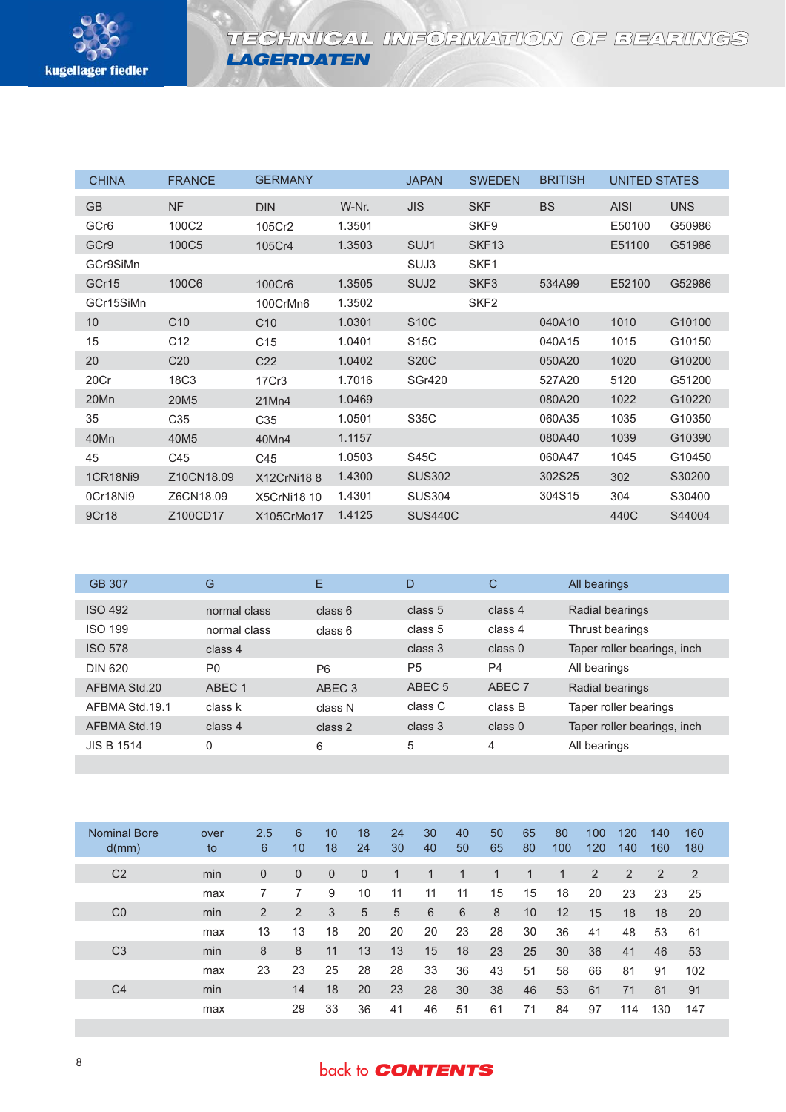

**LAGERDATEN**

| <b>CHINA</b>     | <b>FRANCE</b>    | <b>GERMANY</b>     |        | <b>JAPAN</b>     | <b>SWEDEN</b>     |           | UNITED STATES |            |
|------------------|------------------|--------------------|--------|------------------|-------------------|-----------|---------------|------------|
| <b>GB</b>        | NF               | <b>DIN</b>         | W-Nr.  | <b>JIS</b>       | <b>SKF</b>        | <b>BS</b> | <b>AISI</b>   | <b>UNS</b> |
| GCr <sub>6</sub> | 100C2            | 105Cr2             | 1.3501 |                  | SKF9              |           | E50100        | G50986     |
| GCr9             | 100C5            | 105Cr4             | 1.3503 | SUJ1             | SKF <sub>13</sub> |           | E51100        | G51986     |
| GCr9SiMn         |                  |                    |        | SUJ3             | SKF1              |           |               |            |
| GCr15            | 100C6            | 100Cr6             | 1.3505 | SUJ <sub>2</sub> | SKF <sub>3</sub>  | 534A99    | E52100        | G52986     |
| GCr15SiMn        |                  | 100CrMn6           | 1.3502 |                  | SKF <sub>2</sub>  |           |               |            |
| 10 <sup>°</sup>  | C10              | C10                | 1.0301 | <b>S10C</b>      |                   | 040A10    | 1010          | G10100     |
| 15               | C <sub>12</sub>  | C <sub>15</sub>    | 1.0401 | S15C             |                   | 040A15    | 1015          | G10150     |
| 20               | C <sub>20</sub>  | C <sub>22</sub>    | 1.0402 | <b>S20C</b>      |                   | 050A20    | 1020          | G10200     |
| 20Cr             | 18C3             | 17Cr3              | 1.7016 | <b>SGr420</b>    |                   | 527A20    | 5120          | G51200     |
| 20Mn             | 20M <sub>5</sub> | 21Mn4              | 1.0469 |                  |                   | 080A20    | 1022          | G10220     |
| 35               | C <sub>35</sub>  | C35                | 1.0501 | S35C             |                   | 060A35    | 1035          | G10350     |
| 40Mn             | 40M <sub>5</sub> | 40Mn4              | 1.1157 |                  |                   | 080A40    | 1039          | G10390     |
| 45               | C45              | C45                | 1.0503 | S45C             |                   | 060A47    | 1045          | G10450     |
| <b>1CR18Ni9</b>  | Z10CN18.09       | X12CrNi188         | 1.4300 | <b>SUS302</b>    |                   | 302S25    | 302           | S30200     |
| 0Cr18Ni9         | Z6CN18.09        | <b>X5CrNi18 10</b> | 1.4301 | <b>SUS304</b>    |                   | 304S15    | 304           | S30400     |
| 9Cr18            | Z100CD17         | X105CrMo17         | 1.4125 | <b>SUS440C</b>   |                   |           | 440C          | S44004     |

| GB 307            | G              | Ε                 | D                 | $\mathsf{C}$       | All bearings                |
|-------------------|----------------|-------------------|-------------------|--------------------|-----------------------------|
| <b>ISO 492</b>    | normal class   | class 6           | class 5           | class 4            | Radial bearings             |
| <b>ISO 199</b>    | normal class   | class 6           | class 5           | class 4            | Thrust bearings             |
| <b>ISO 578</b>    | class 4        |                   | class 3           | class <sub>0</sub> | Taper roller bearings, inch |
| <b>DIN 620</b>    | P <sub>0</sub> | P <sub>6</sub>    | P <sub>5</sub>    | P <sub>4</sub>     | All bearings                |
| AFBMA Std.20      | ABEC 1         | ABEC <sub>3</sub> | ABEC <sub>5</sub> | ABEC 7             | Radial bearings             |
| AFBMA Std. 19.1   | class k        | class N           | class C           | class B            | Taper roller bearings       |
| AFBMA Std.19      | class 4        | class 2           | class 3           | class <sub>0</sub> | Taper roller bearings, inch |
| <b>JIS B 1514</b> | 0              | 6                 | 5                 | 4                  | All bearings                |

| <b>Nominal Bore</b><br>d(mm) | over<br>to | 2.5<br>6       | 6<br>10      | 10<br>18 | 18<br>24       | 24<br>30 | 30<br>40 | 40<br>50 | 50<br>65 | 65<br>80 | 80<br>100 | 100<br>120     | 120<br>140 | 140<br>160 | 160<br>180 |
|------------------------------|------------|----------------|--------------|----------|----------------|----------|----------|----------|----------|----------|-----------|----------------|------------|------------|------------|
| C <sub>2</sub>               | min        | $\overline{0}$ | $\mathbf{0}$ | $\Omega$ | $\overline{0}$ |          |          |          |          |          |           | $\overline{2}$ | 2          | 2          | 2          |
|                              | max        |                |              | 9        | 10             | 11       | 11       | 11       | 15       | 15       | 18        | 20             | 23         | 23         | 25         |
| CO                           | min        | $\overline{2}$ | 2            | 3        | 5              | 5        | 6        | 6        | 8        | 10       | 12        | 15             | 18         | 18         | 20         |
|                              | max        | 13             | 13           | 18       | 20             | 20       | 20       | 23       | 28       | 30       | 36        | 41             | 48         | 53         | 61         |
| C <sub>3</sub>               | min        | 8              | 8            | 11       | 13             | 13       | 15       | 18       | 23       | 25       | 30        | 36             | 41         | 46         | 53         |
|                              | max        | 23             | 23           | 25       | 28             | 28       | 33       | 36       | 43       | 51       | 58        | 66             | 81         | 91         | 102        |
| C4                           | min        |                | 14           | 18       | 20             | 23       | 28       | 30       | 38       | 46       | 53        | 61             | 71         | 81         | 91         |
|                              | max        |                | 29           | 33       | 36             | 41       | 46       | 51       | 61       | 71       | 84        | 97             | 114        | 130        | 147        |

## back to **CONTENTS**